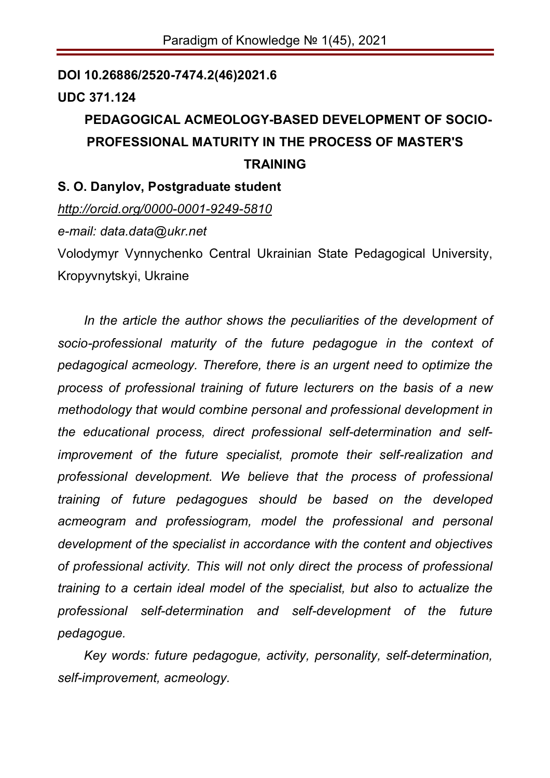#### **DOI 10.26886/2520-7474.2(46)2021.6**

## **UDC 371.124**

# **PEDAGOGICAL ACMEOLOGY-BASED DEVELOPMENT OF SOCIO-PROFESSIONAL MATURITY IN THE PROCESS OF MASTER'S TRAINING**

### **S. O. Danylov, Postgraduate student**

*http://orcid.org/0000-0001-9249-5810*

*e-mail: data.data@ukr.net*

Volodymyr Vynnychenko Central Ukrainian State Pedagogical University, Kropyvnytskyi, Ukraine

*In the article the author shows the peculiarities of the development of socio-professional maturity of the future pedagogue in the context of pedagogical acmeology. Therefore, there is an urgent need to optimize the process of professional training of future lecturers on the basis of a new methodology that would combine personal and professional development in the educational process, direct professional self-determination and selfimprovement of the future specialist, promote their self-realization and professional development. We believe that the process of professional training of future pedagogues should be based on the developed acmeogram and professiogram, model the professional and personal development of the specialist in accordance with the content and objectives of professional activity. This will not only direct the process of professional training to a certain ideal model of the specialist, but also to actualize the professional self-determination and self-development of the future pedagogue.*

*Key words: future pedagogue, activity, personality, self-determination, self-improvement, acmeology.*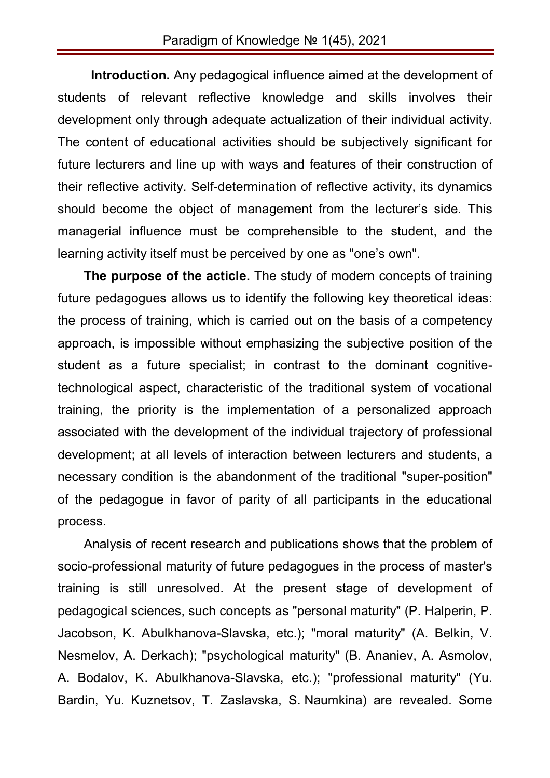**Introduction.** Any pedagogical influence aimed at the development of students of relevant reflective knowledge and skills involves their development only through adequate actualization of their individual activity. The content of educational activities should be subjectively significant for future lecturers and line up with ways and features of their construction of their reflective activity. Self-determination of reflective activity, its dynamics should become the object of management from the lecturer's side. This managerial influence must be comprehensible to the student, and the learning activity itself must be perceived by one as "one's own".

**The purpose of the acticle.** The study of modern concepts of training future pedagogues allows us to identify the following key theoretical ideas: the process of training, which is carried out on the basis of a competency approach, is impossible without emphasizing the subjective position of the student as a future specialist; in contrast to the dominant cognitivetechnological aspect, characteristic of the traditional system of vocational training, the priority is the implementation of a personalized approach associated with the development of the individual trajectory of professional development; at all levels of interaction between lecturers and students, a necessary condition is the abandonment of the traditional "super-position" of the pedagogue in favor of parity of all participants in the educational process.

Analysis of recent research and publications shows that the problem of socio-professional maturity of future pedagogues in the process of master's training is still unresolved. At the present stage of development of pedagogical sciences, such concepts as "personal maturity" (P. Halperin, P. Jacobson, K. Abulkhanova-Slavska, etc.); "moral maturity" (A. Belkin, V. Nesmelov, A. Derkach); "psychological maturity" (B. Ananiev, A. Asmolov, A. Bodalov, K. Abulkhanova-Slavska, etc.); "professional maturity" (Yu. Bardin, Yu. Kuznetsov, T. Zaslavska, S. Naumkina) are revealed. Some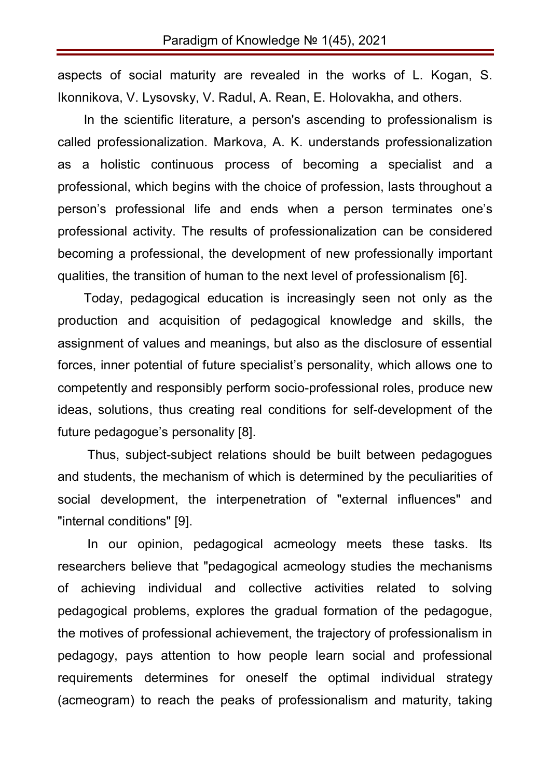aspects of social maturity are revealed in the works of L. Kogan, S. Ikonnikova, V. Lysovsky, V. Radul, A. Rean, E. Holovakha, and others.

In the scientific literature, a person's ascending to professionalism is called professionalization. Markova, A. K. understands professionalization as a holistic continuous process of becoming a specialist and a professional, which begins with the choice of profession, lasts throughout a person's professional life and ends when a person terminates one's professional activity. The results of professionalization can be considered becoming a professional, the development of new professionally important qualities, the transition of human to the next level of professionalism [6].

Today, pedagogical education is increasingly seen not only as the production and acquisition of pedagogical knowledge and skills, the assignment of values and meanings, but also as the disclosure of essential forces, inner potential of future specialist's personality, which allows one to competently and responsibly perform socio-professional roles, produce new ideas, solutions, thus creating real conditions for self-development of the future pedagogue's personality [8].

Thus, subject-subject relations should be built between pedagogues and students, the mechanism of which is determined by the peculiarities of social development, the interpenetration of "external influences" and "internal conditions" [9].

In our opinion, pedagogical acmeology meets these tasks. Its researchers believe that "pedagogical acmeology studies the mechanisms of achieving individual and collective activities related to solving pedagogical problems, explores the gradual formation of the pedagogue, the motives of professional achievement, the trajectory of professionalism in pedagogy, pays attention to how people learn social and professional requirements determines for oneself the optimal individual strategy (acmeogram) to reach the peaks of professionalism and maturity, taking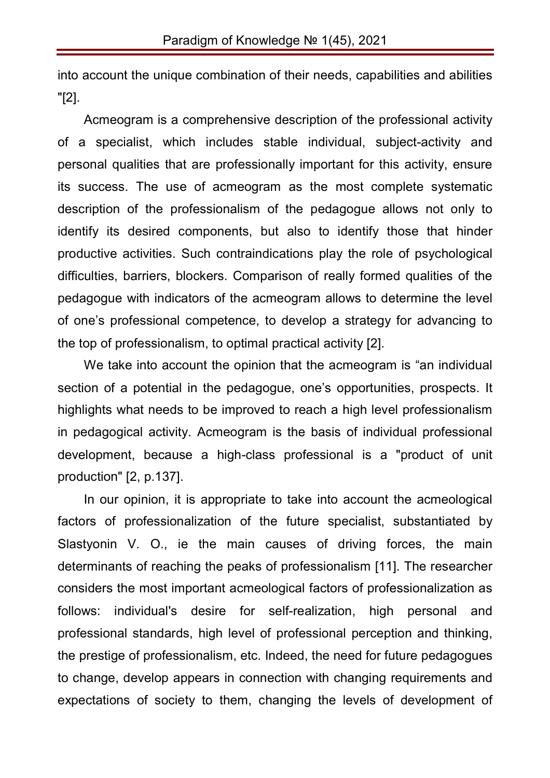into account the unique combination of their needs, capabilities and abilities "[2].

Acmeogram is a comprehensive description of the professional activity of a specialist, which includes stable individual, subject-activity and personal qualities that are professionally important for this activity, ensure its success. The use of acmeogram as the most complete systematic description of the professionalism of the pedagogue allows not only to identify its desired components, but also to identify those that hinder productive activities. Such contraindications play the role of psychological difficulties, barriers, blockers. Comparison of really formed qualities of the pedagogue with indicators of the acmeogram allows to determine the level of one's professional competence, to develop a strategy for advancing to the top of professionalism, to optimal practical activity [2].

We take into account the opinion that the acmeogram is "an individual section of a potential in the pedagogue, one's opportunities, prospects. It highlights what needs to be improved to reach a high level professionalism in pedagogical activity. Acmeogram is the basis of individual professional development, because a high-class professional is a "product of unit production" [2, p.137].

In our opinion, it is appropriate to take into account the acmeological factors of professionalization of the future specialist, substantiated by Slastyonin V. O., ie the main causes of driving forces, the main determinants of reaching the peaks of professionalism [11]. The researcher considers the most important acmeological factors of professionalization as follows: individual's desire for self-realization, high personal and professional standards, high level of professional perception and thinking, the prestige of professionalism, etc. Indeed, the need for future pedagogues to change, develop appears in connection with changing requirements and expectations of society to them, changing the levels of development of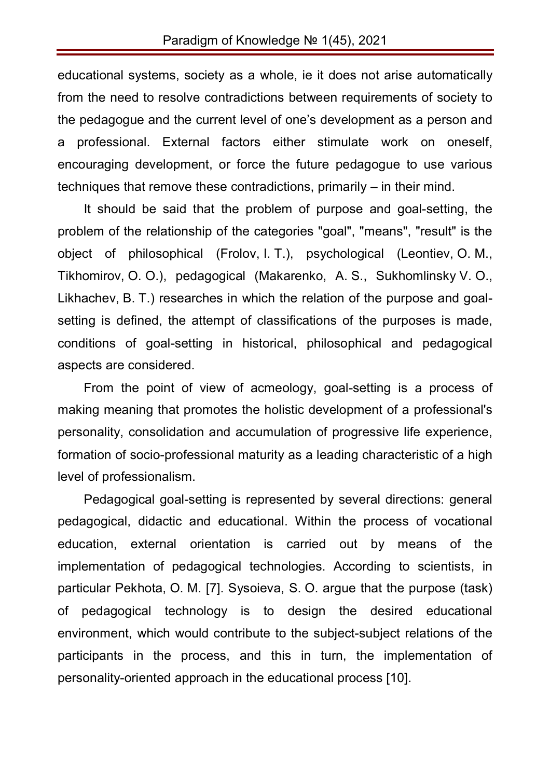educational systems, society as a whole, ie it does not arise automatically from the need to resolve contradictions between requirements of society to the pedagogue and the current level of one's development as a person and a professional. External factors either stimulate work on oneself, encouraging development, or force the future pedagogue to use various techniques that remove these contradictions, primarily – in their mind.

It should be said that the problem of purpose and goal-setting, the problem of the relationship of the categories "goal", "means", "result" is the object of philosophical (Frolov, I. T.), psychological (Leontiev, O. M., Tikhomirov, O. O.), pedagogical (Makarenko, A. S., Sukhomlinsky V. O., Likhachev, B. T.) researches in which the relation of the purpose and goalsetting is defined, the attempt of classifications of the purposes is made, conditions of goal-setting in historical, philosophical and pedagogical aspects are considered.

From the point of view of acmeology, goal-setting is a process of making meaning that promotes the holistic development of a professional's personality, consolidation and accumulation of progressive life experience, formation of socio-professional maturity as a leading characteristic of a high level of professionalism.

Pedagogical goal-setting is represented by several directions: general pedagogical, didactic and educational. Within the process of vocational education, external orientation is carried out by means of the implementation of pedagogical technologies. According to scientists, in particular Pekhota, O. M. [7]. Sysoieva, S. O. argue that the purpose (task) of pedagogical technology is to design the desired educational environment, which would contribute to the subject-subject relations of the participants in the process, and this in turn, the implementation of personality-oriented approach in the educational process [10].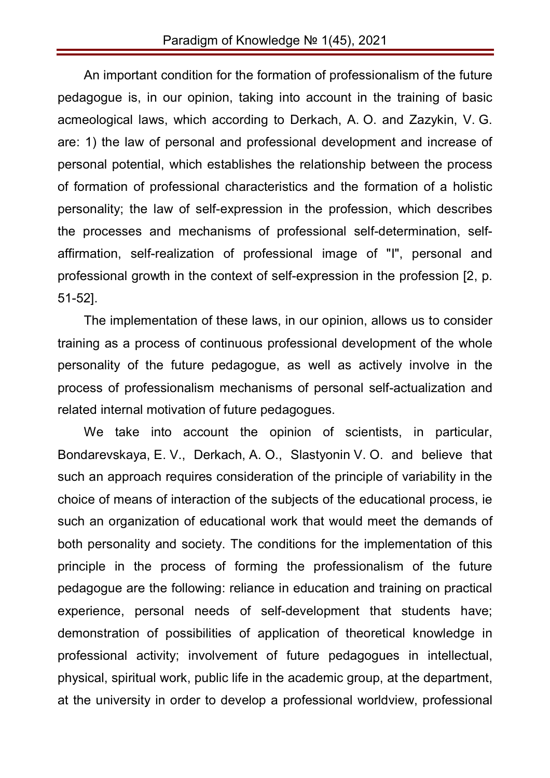An important condition for the formation of professionalism of the future pedagogue is, in our opinion, taking into account in the training of basic acmeological laws, which according to Derkach, A. O. and Zazykin, V. G. are: 1) the law of personal and professional development and increase of personal potential, which establishes the relationship between the process of formation of professional characteristics and the formation of a holistic personality; the law of self-expression in the profession, which describes the processes and mechanisms of professional self-determination, selfaffirmation, self-realization of professional image of "I", personal and professional growth in the context of self-expression in the profession [2, p. 51-52].

The implementation of these laws, in our opinion, allows us to consider training as a process of continuous professional development of the whole personality of the future pedagogue, as well as actively involve in the process of professionalism mechanisms of personal self-actualization and related internal motivation of future pedagogues.

We take into account the opinion of scientists, in particular, Bondarevskaya, E. V., Derkach, A. O., Slastyonin V. O. and believe that such an approach requires consideration of the principle of variability in the choice of means of interaction of the subjects of the educational process, ie such an organization of educational work that would meet the demands of both personality and society. The conditions for the implementation of this principle in the process of forming the professionalism of the future pedagogue are the following: reliance in education and training on practical experience, personal needs of self-development that students have; demonstration of possibilities of application of theoretical knowledge in professional activity; involvement of future pedagogues in intellectual, physical, spiritual work, public life in the academic group, at the department, at the university in order to develop a professional worldview, professional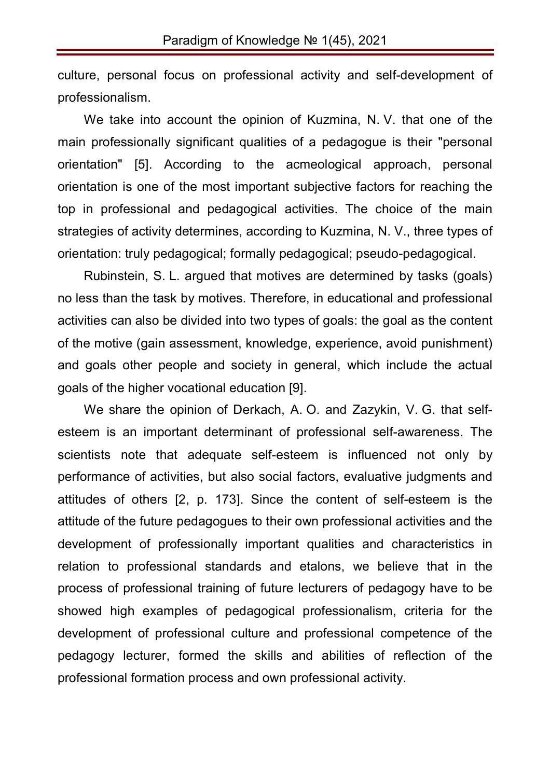culture, personal focus on professional activity and self-development of professionalism.

We take into account the opinion of Kuzmina, N. V. that one of the main professionally significant qualities of a pedagogue is their "personal orientation" [5]. According to the acmeological approach, personal orientation is one of the most important subjective factors for reaching the top in professional and pedagogical activities. The choice of the main strategies of activity determines, according to Kuzmina, N. V., three types of orientation: truly pedagogical; formally pedagogical; pseudo-pedagogical.

Rubinstein, S. L. argued that motives are determined by tasks (goals) no less than the task by motives. Therefore, in educational and professional activities can also be divided into two types of goals: the goal as the content of the motive (gain assessment, knowledge, experience, avoid punishment) and goals other people and society in general, which include the actual goals of the higher vocational education [9].

We share the opinion of Derkach, A. O. and Zazykin, V. G. that selfesteem is an important determinant of professional self-awareness. The scientists note that adequate self-esteem is influenced not only by performance of activities, but also social factors, evaluative judgments and attitudes of others [2, p. 173]. Since the content of self-esteem is the attitude of the future pedagogues to their own professional activities and the development of professionally important qualities and characteristics in relation to professional standards and etalons, we believe that in the process of professional training of future lecturers of pedagogy have to be showed high examples of pedagogical professionalism, criteria for the development of professional culture and professional competence of the pedagogy lecturer, formed the skills and abilities of reflection of the professional formation process and own professional activity.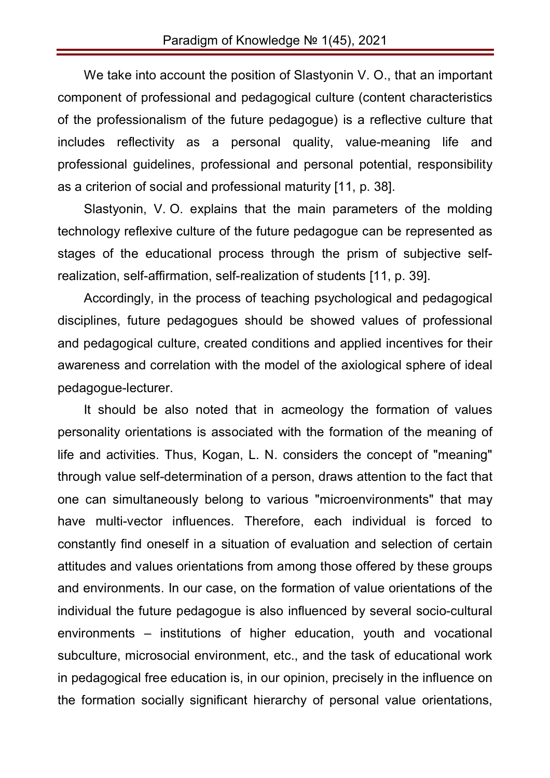We take into account the position of Slastyonin V. O., that an important component of professional and pedagogical culture (content characteristics of the professionalism of the future pedagogue) is a reflective culture that includes reflectivity as a personal quality, value-meaning life and professional guidelines, professional and personal potential, responsibility as a criterion of social and professional maturity [11, p. 38].

Slastyonin, V. O. explains that the main parameters of the molding technology reflexive culture of the future pedagogue can be represented as stages of the educational process through the prism of subjective selfrealization, self-affirmation, self-realization of students [11, p. 39].

Accordingly, in the process of teaching psychological and pedagogical disciplines, future pedagogues should be showed values of professional and pedagogical culture, created conditions and applied incentives for their awareness and correlation with the model of the axiological sphere of ideal pedagogue-lecturer.

It should be also noted that in acmeology the formation of values personality orientations is associated with the formation of the meaning of life and activities. Thus, Kogan, L. N. considers the concept of "meaning" through value self-determination of a person, draws attention to the fact that one can simultaneously belong to various "microenvironments" that may have multi-vector influences. Therefore, each individual is forced to constantly find oneself in a situation of evaluation and selection of certain attitudes and values orientations from among those offered by these groups and environments. In our case, on the formation of value orientations of the individual the future pedagogue is also influenced by several socio-cultural environments – institutions of higher education, youth and vocational subculture, microsocial environment, etc., and the task of educational work in pedagogical free education is, in our opinion, precisely in the influence on the formation socially significant hierarchy of personal value orientations,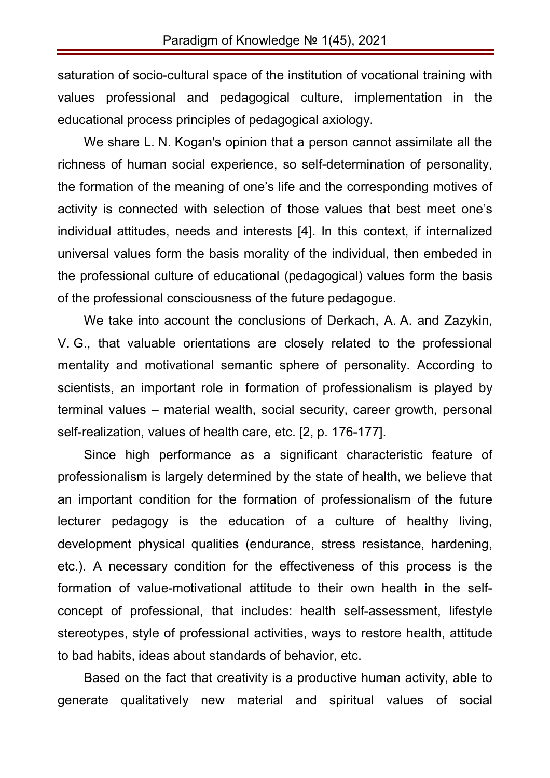saturation of socio-cultural space of the institution of vocational training with values professional and pedagogical culture, implementation in the educational process principles of pedagogical axiology.

We share L. N. Kogan's opinion that a person cannot assimilate all the richness of human social experience, so self-determination of personality, the formation of the meaning of one's life and the corresponding motives of activity is connected with selection of those values that best meet one's individual attitudes, needs and interests [4]. In this context, if internalized universal values form the basis morality of the individual, then embeded in the professional culture of educational (pedagogical) values form the basis of the professional consciousness of the future pedagogue.

We take into account the conclusions of Derkach, A. A. and Zazykin, V. G., that valuable orientations are closely related to the professional mentality and motivational semantic sphere of personality. According to scientists, an important role in formation of professionalism is played by terminal values – material wealth, social security, career growth, personal self-realization, values of health care, etc. [2, p. 176-177].

Since high performance as a significant characteristic feature of professionalism is largely determined by the state of health, we believe that an important condition for the formation of professionalism of the future lecturer pedagogy is the education of a culture of healthy living, development physical qualities (endurance, stress resistance, hardening, etc.). A necessary condition for the effectiveness of this process is the formation of value-motivational attitude to their own health in the selfconcept of professional, that includes: health self-assessment, lifestyle stereotypes, style of professional activities, ways to restore health, attitude to bad habits, ideas about standards of behavior, etc.

Based on the fact that creativity is a productive human activity, able to generate qualitatively new material and spiritual values of social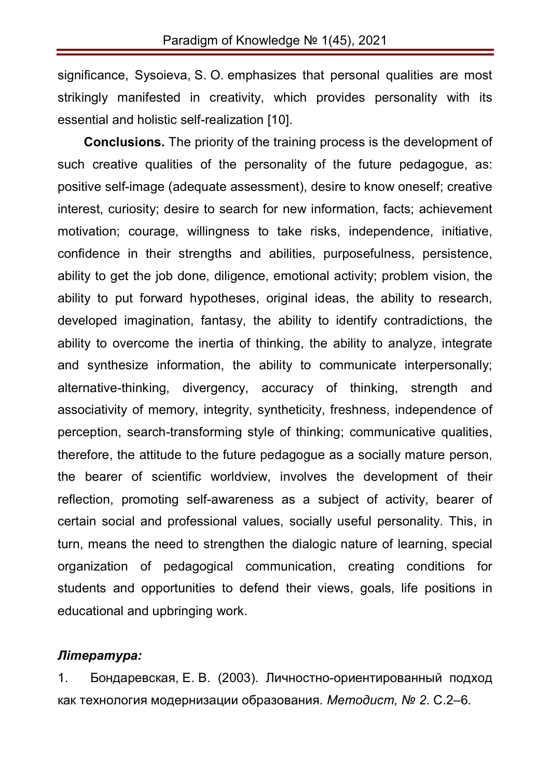significance, Sysoieva, S. O. emphasizes that personal qualities are most strikingly manifested in creativity, which provides personality with its essential and holistic self-realization [10].

**Conclusions.** The priority of the training process is the development of such creative qualities of the personality of the future pedagogue, as: positive self-image (adequate assessment), desire to know oneself; creative interest, curiosity; desire to search for new information, facts; achievement motivation; courage, willingness to take risks, independence, initiative, confidence in their strengths and abilities, purposefulness, persistence, ability to get the job done, diligence, emotional activity; problem vision, the ability to put forward hypotheses, original ideas, the ability to research, developed imagination, fantasy, the ability to identify contradictions, the ability to overcome the inertia of thinking, the ability to analyze, integrate and synthesize information, the ability to communicate interpersonally; alternative-thinking, divergency, accuracy of thinking, strength and associativity of memory, integrity, syntheticity, freshness, independence of perception, search-transforming style of thinking; communicative qualities, therefore, the attitude to the future pedagogue as a socially mature person, the bearer of scientific worldview, involves the development of their reflection, promoting self-awareness as a subject of activity, bearer of certain social and professional values, socially useful personality. This, in turn, means the need to strengthen the dialogic nature of learning, special organization of pedagogical communication, creating conditions for students and opportunities to defend their views, goals, life positions in educational and upbringing work.

### *Література:*

1. Бондаревская, Е. В. (2003). Личностно-ориентированный подход как технология модернизации образования. *Методист, № 2*. С.2–6.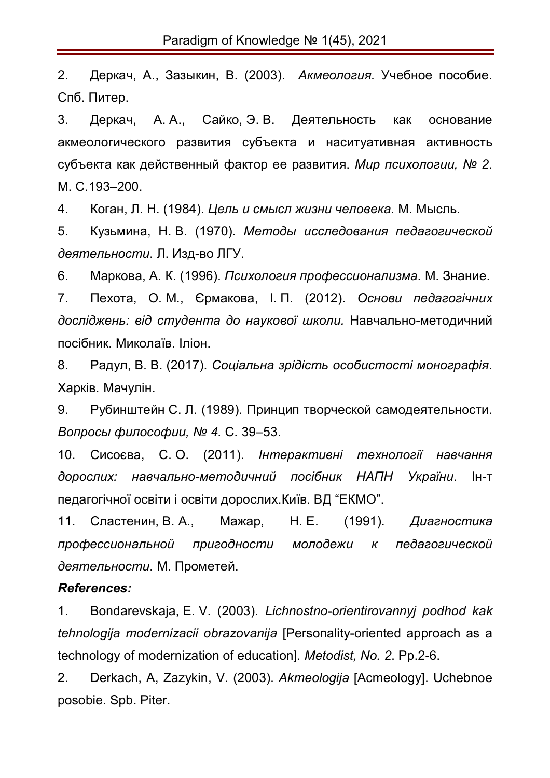2. Деркач, А., Зазыкин, В. (2003). *Акмеология.* Учебное пособие. Спб. Питер.

3. Деркач, А. А., Сайко, Э. В. Деятельность как основание акмеологического развития субъекта и наситуативная активность субъекта как действенный фактор ее развития. *Мир психологии, № 2*. М. C.193–200.

4. Коган, Л. Н. (1984). *Цель и смысл жизни человека*. М. Мысль.

5. Кузьмина, Н. В. (1970). *Методы исследования педагогической деятельности*. Л. Изд-во ЛГУ.

6. Маркова, А. К. (1996). *Психология профессионализма*. М. Знание.

7. Пехота, О. М., Єрмакова, І. П. (2012). *Основи педагогічних досліджень: від студента до наукової школи.* Навчально-методичний посібник. Миколаїв. Іліон.

8. Радул, В. В. (2017). *Соціальна зрідість особистості монографія*. Харків. Мачулін.

9. Рубинштейн С. Л. (1989). Принцип творческой самодеятельности. *Вопросы философии, № 4.* С. 39–53.

10. Сисоєва, С. О. (2011). *Інтерактивні технології навчання дорослих: навчально-методичний посібник НАПН України*. Ін-т педагогічної освіти і освіти дорослих.Київ. ВД "ЕКМО".

11. Сластенин, В. А., Мажар, Н. Е. (1991). *Диагностика профессиональной пригодности молодежи к педагогической деятельности*. М. Прометей.

#### *References:*

1. Bondarevskaja, E. V. (2003). *Lichnostno-orientirovannyj podhod kak tehnologija modernizacii obrazovanija* [Personality-oriented approach as a technology of modernization of education]. *Metodist, No. 2*. Pp.2-6.

2. Derkach, A, Zazykin, V. (2003). *Akmeologija* [Acmeology]. Uchebnoe posobie. Spb. Piter.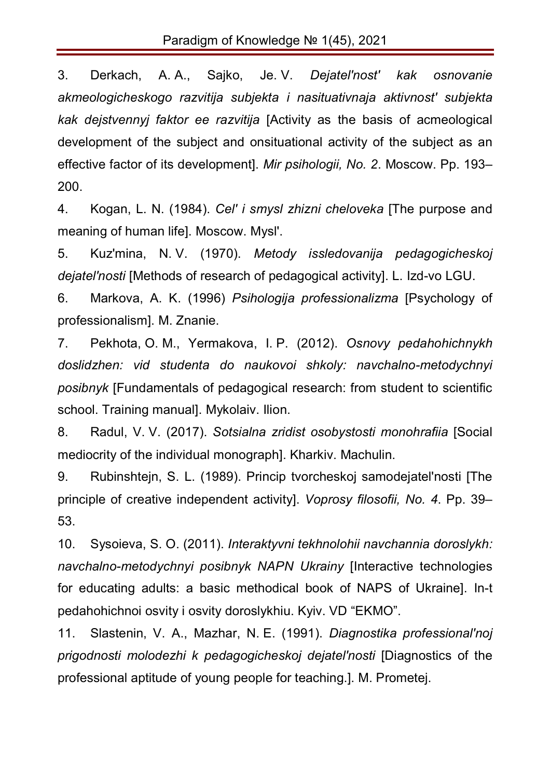3. Derkach, A. A., Sajko, Je. V. *Dejatel'nost' kak osnovanie akmeologicheskogo razvitija subjekta i nasituativnaja aktivnost' subjekta kak dejstvennyj faktor ee razvitija* [Activity as the basis of acmeological development of the subject and onsituational activity of the subject as an effective factor of its development]. *Mir psihologii, No. 2*. Moscow. Pp. 193– 200.

4. Kogan, L. N. (1984). *Cel' i smysl zhizni cheloveka* [The purpose and meaning of human life]. Moscow. Mysl'.

5. Kuz'mina, N. V. (1970). *Metody issledovanija pedagogicheskoj dejatel'nosti* [Methods of research of pedagogical activity]. L. Izd-vo LGU.

6. Markova, A. K. (1996) *Psihologija professionalizma* [Psychology of professionalism]. M. Znanie.

7. Pekhota, O. M., Yermakova, I. P. (2012). *Osnovy pedahohichnykh doslidzhen: vid studenta do naukovoi shkoly: navchalno-metodychnyi posibnyk* [Fundamentals of pedagogical research: from student to scientific school. Training manual]. Mykolaiv. Ilion.

8. Radul, V. V. (2017). *Sotsialna zridist osobystosti monohrafiia* [Social mediocrity of the individual monograph]. Kharkiv. Machulin.

9. Rubinshtejn, S. L. (1989). Princip tvorcheskoj samodejatel'nosti [The principle of creative independent activity]. *Voprosy filosofii, No. 4*. Pp. 39– 53.

10. Sysoieva, S. O. (2011). *Interaktyvni tekhnolohii navchannia doroslykh: navchalno-metodychnyi posibnyk NAPN Ukrainy* [Interactive technologies for educating adults: a basic methodical book of NAPS of Ukraine]. In-t pedahohichnoi osvity i osvity doroslykhiu. Kyiv. VD "EKMO".

11. Slastenin, V. A., Mazhar, N. E. (1991). *Diagnostika professional'noj prigodnosti molodezhi k pedagogicheskoj dejatel'nosti* [Diagnostics of the professional aptitude of young people for teaching.]. M. Prometej.